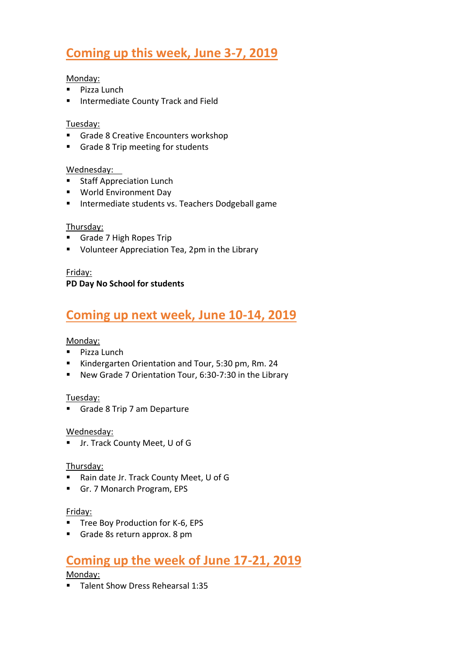# **Coming up this week, June 3-7, 2019**

#### Monday:

- Pizza Lunch
- **■** Intermediate County Track and Field

#### Tuesday:

- Grade 8 Creative Encounters workshop
- Grade 8 Trip meeting for students

#### Wednesday:

- Staff Appreciation Lunch
- World Environment Day
- Intermediate students vs. Teachers Dodgeball game

#### Thursday:

- Grade 7 High Ropes Trip
- Volunteer Appreciation Tea, 2pm in the Library

#### Friday:

### **PD Day No School for students**

### **Coming up next week, June 10-14, 2019**

#### Monday:

- Pizza Lunch
- Kindergarten Orientation and Tour, 5:30 pm, Rm. 24
- New Grade 7 Orientation Tour, 6:30-7:30 in the Library

#### Tuesday:

■ Grade 8 Trip 7 am Departure

#### Wednesday:

▪ Jr. Track County Meet, U of G

#### Thursday:

- Rain date Jr. Track County Meet, U of G
- Gr. 7 Monarch Program, EPS

#### Friday:

- Tree Boy Production for K-6, EPS
- Grade 8s return approx. 8 pm

## **Coming up the week of June 17-21, 2019**

Monday:

▪ Talent Show Dress Rehearsal 1:35